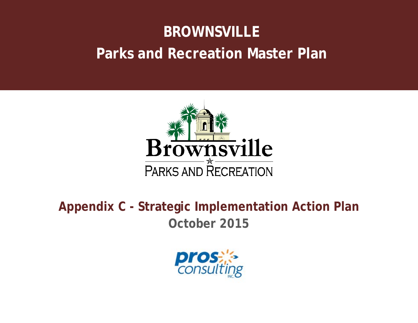# **BROWNSVILLE Parks and Recreation Master Plan**



**Appendix C - Strategic Implementation Action Plan October 2015**

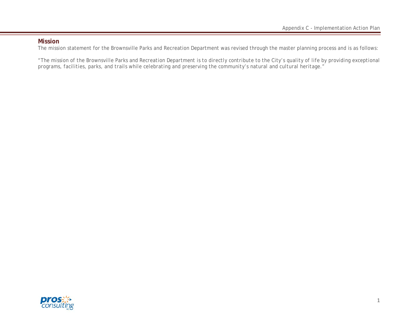#### **Mission**

The mission statement for the Brownsville Parks and Recreation Department was revised through the master planning process and is as follows:

*"The mission of the Brownsville Parks and Recreation Department is to directly contribute to the City's quality of life by providing exceptional programs, facilities, parks, and trails while celebrating and preserving the community's natural and cultural heritage."*

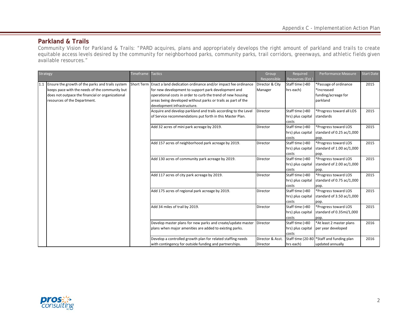### **Parkland & Trails**

Community Vision for Parkland & Trails: "PARD acquires, plans and appropriately develops the right amount of parkland and trails to create equitable access levels desired by the community for neighborhood parks, community parks, trail corridors, greenways, and athletic fields given available resources."

| Strategy                                             | Timeframe | <b>Tactics</b>                                                           | Group            | Required          | Performance Measure            | <b>Start Date</b> |
|------------------------------------------------------|-----------|--------------------------------------------------------------------------|------------------|-------------------|--------------------------------|-------------------|
|                                                      |           |                                                                          | Responsible      | Resources (Est.   |                                |                   |
| 1.1 Ensure the growth of the parks and trails system |           | Short Term Enact a land dedication ordinance and/or impact fee ordinance | Director & City  | Staff time (>80   | *Passage of ordinance          | 2015              |
| keeps pace with the needs of the community but       |           | for new development to support park development and                      | Manager          | hrs each)         | *Increased                     |                   |
| does not outpace the financial or organizational     |           | operational costs in order to curb the trend of new housing              |                  |                   | funding/acreage for            |                   |
| resources of the Department.                         |           | areas being developed without parks or trails as part of the             |                  |                   | parkland                       |                   |
|                                                      |           | development infrastructure.                                              |                  |                   |                                |                   |
|                                                      |           | Acquire and develop parkland and trails according to the Level           | Director         | Staff time (>80   | *Progress toward all LOS       | 2015              |
|                                                      |           | of Service recommendations put forth in this Master Plan.                |                  | hrs) plus capital | <b>Istandards</b>              |                   |
|                                                      |           |                                                                          |                  | costs             |                                |                   |
|                                                      |           | Add 32 acres of mini park acreage by 2019.                               | Director         | Staff time (>80   | *Progress toward LOS           | 2015              |
|                                                      |           |                                                                          |                  | hrs) plus capital | standard of $0.25$ ac/1,000    |                   |
|                                                      |           |                                                                          |                  | costs             | pop.                           |                   |
|                                                      |           | Add 157 acres of neighborhood park acreage by 2019.                      | Director         | Staff time (>80   | *Progress toward LOS           | 2015              |
|                                                      |           |                                                                          |                  | hrs) plus capital | standard of $1.00$ ac/ $1,000$ |                   |
|                                                      |           |                                                                          |                  | costs             | pop.                           |                   |
|                                                      |           | Add 130 acres of community park acreage by 2019.                         | Director         | Staff time (>80   | *Progress toward LOS           | 2015              |
|                                                      |           |                                                                          |                  | hrs) plus capital | standard of 2.00 ac/1,000      |                   |
|                                                      |           |                                                                          |                  | costs             | pop.                           |                   |
|                                                      |           | Add 117 acres of city park acreage by 2019.                              | Director         | Staff time (>80   | *Progress toward LOS           | 2015              |
|                                                      |           |                                                                          |                  | hrs) plus capital | standard of 0.75 ac/1,000      |                   |
|                                                      |           |                                                                          |                  | costs             | pop.                           |                   |
|                                                      |           | Add 175 acres of regional park acreage by 2019.                          | Director         | Staff time (>80   | *Progress toward LOS           | 2015              |
|                                                      |           |                                                                          |                  | hrs) plus capital | standard of 3.50 ac/1,000      |                   |
|                                                      |           |                                                                          |                  | costs             | pop.                           |                   |
|                                                      |           | Add 34 miles of trail by 2019.                                           | Director         | Staff time (>80   | *Progress toward LOS           | 2015              |
|                                                      |           |                                                                          |                  | hrs) plus capital | standard of 0.35mi/1,000       |                   |
|                                                      |           |                                                                          |                  | costs             | pop.                           |                   |
|                                                      |           | Develop master plans for new parks and create/update master              | Director         | Staff time (>80   | *At least 2 master plans       | 2016              |
|                                                      |           | plans when major amenities are added to existing parks.                  |                  | hrs) plus capital | per year developed             |                   |
|                                                      |           |                                                                          |                  | costs             |                                |                   |
|                                                      |           | Develop a controlled growth plan for related staffing needs              | Director & Asst. | Staff time (20-80 | *Staff and funding plan        | 2016              |
|                                                      |           | with contingency for outside funding and partnerships.                   | Director         | hrs each)         | updated annually               |                   |

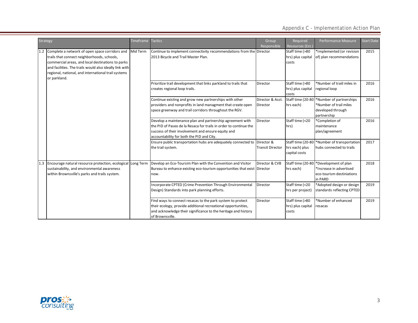| Strategy            |                                                                                                                                                                                                                                                                      | Timeframe | <b>Tactics</b>                                                                                                                                                                                                                    | Group<br>Responsible                  | Required<br>Resources (Est.)                         | Performance Measure                                                                     | <b>Start Date</b> |
|---------------------|----------------------------------------------------------------------------------------------------------------------------------------------------------------------------------------------------------------------------------------------------------------------|-----------|-----------------------------------------------------------------------------------------------------------------------------------------------------------------------------------------------------------------------------------|---------------------------------------|------------------------------------------------------|-----------------------------------------------------------------------------------------|-------------------|
| 1.2<br>or parkland. | Complete a network of open space corridors and<br>trails that connect neighborhoods, schools,<br>commercial areas, and local destinations to parks<br>and facilities. The trails would also ideally link with<br>regional, national, and international trail systems | Mid Term  | Continue to implement connectivity recommendations from the Director<br>2013 Bicycle and Trail Master Plan.                                                                                                                       |                                       | Staff time (>80<br>hrs) plus capital<br>costs        | *Implemented (or revision<br>of) plan recommendations                                   | 2015              |
|                     |                                                                                                                                                                                                                                                                      |           | Prioritize trail development that links parkland to trails that<br>creates regional loop trails.                                                                                                                                  | Director                              | Staff time (>80<br>hrs) plus capital<br>costs        | *Number of traiil miles in<br>regional loop                                             | 2016              |
|                     |                                                                                                                                                                                                                                                                      |           | Continue existing and grow new partnerships with other<br>providers and nonprofits in land managment that create open<br>space greenway and trail corridors throughout the RGV.                                                   | Director & Asst.<br>Director          | Staff time (20-80<br>hrs each)                       | *Number of partnerships<br>*Number of trail miles<br>developed through<br>partnership   | 2016              |
|                     |                                                                                                                                                                                                                                                                      |           | Develop a maintenance plan and partnership agreement with<br>the PID of Paseo de la Resaca for trails in order to continue the<br>success of their involvement and ensure equity and<br>accountability for both the PID and City. | <b>Director</b>                       | Staff time (<20<br>hrs)                              | *Completion of<br>maintenance<br>plan/agreement                                         | 2016              |
|                     |                                                                                                                                                                                                                                                                      |           | Ensure public transportation hubs are adequately connected to<br>the trail system.                                                                                                                                                | Director &<br><b>Transit Director</b> | Staff time (20-80<br>hrs each) plus<br>capital costs | *Number of transportation<br>hubs connected to trails                                   | 2017              |
| 1.3                 | Encourage natural resource protection, ecological Long Term<br>sustainability, and environmental awareness<br>within Brownsville's parks and trails system.                                                                                                          |           | Develop an Eco-Toursim Plan with the Convention and Visitor<br>Bureau to enhance existing eco-tourism opportunities that exist Director<br>now.                                                                                   | Director & CVB                        | Staff time (20-80<br>hrs each)                       | *Development of plan<br>*Increase in advertised<br>eco-tourism destiniations<br>in PARD | 2018              |
|                     |                                                                                                                                                                                                                                                                      |           | Incorporate CPTED (Crime Prevention Through Environmental<br>Design) Standards into park planning efforts.                                                                                                                        | Director                              | Staff time (<20<br>hrs per project)                  | *Adopted design or design<br>standards reflecting CPTED                                 | 2019              |
|                     |                                                                                                                                                                                                                                                                      |           | Find ways to connect resacas to the park system to protect<br>their ecology, provide additional recreational opportunities,<br>and acknowledge their significance to the heritage and history<br>of Brownsville.                  | Director                              | Staff time (>80<br>hrs) plus capital<br>costs        | *Number of enhanced<br>resacas                                                          | 2019              |

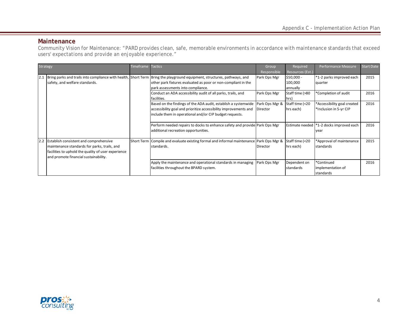#### **Maintenance**

Community Vision for Maintenance: "PARD provides clean, safe, memorable environments in accordance with maintenance standards that exceed users' expectations and provide an enjoyable experience."

| <b>Strategy</b> |                                                     | Timeframe | <b>Tactics</b>                                                                                                           | Group          | Required         | Performance Measure                        | <b>Start Date</b> |
|-----------------|-----------------------------------------------------|-----------|--------------------------------------------------------------------------------------------------------------------------|----------------|------------------|--------------------------------------------|-------------------|
|                 |                                                     |           |                                                                                                                          | Responsible    | Resources (Est.) |                                            |                   |
| 2.1             |                                                     |           | Bring parks and trails into compliance with health, Short Term Bring the playground equipment, structures, pathways, and | Park Ops Mgr   | $$50,000 -$      | *1-2 parks improved each                   | 2015              |
|                 | safety, and welfare standards.                      |           | other park fixtures evaluated as poor or non-compliant in the                                                            |                | 100,000          | quarter                                    |                   |
|                 |                                                     |           | park assessments into compliance.                                                                                        |                | annually         |                                            |                   |
|                 |                                                     |           | Conduct an ADA accessibility audit of all parks, trails, and                                                             | Park Ops Mgr   | Staff time (>80  | *Completion of audit                       | 2016              |
|                 |                                                     |           | facilities.                                                                                                              |                | hrs)             |                                            |                   |
|                 |                                                     |           | Based on the findings of the ADA audit, establish a systemwide                                                           | Park Ops Mgr & | Staff time (<20  | *Accessibility goal created                | 2016              |
|                 |                                                     |           | accessibility goal and prioritize accessibility improvements and                                                         | Director       | hrs each)        | *Inclusion in 5-yr CIP                     |                   |
|                 |                                                     |           | include them in operational and/or CIP budget requests.                                                                  |                |                  |                                            |                   |
|                 |                                                     |           |                                                                                                                          |                |                  |                                            |                   |
|                 |                                                     |           | Perform needed repairs to docks to enhance safety and provide Park Ops Mgr                                               |                |                  | Estimate needed   *1-2 docks improved each | 2016              |
|                 |                                                     |           | additional recreation opportunities.                                                                                     |                |                  | vear                                       |                   |
|                 |                                                     |           |                                                                                                                          |                |                  |                                            |                   |
|                 | 2.2 Establish consistent and comprehensive          |           | Short Term Compile and evaluate existing formal and informal maintenance Park Ops Mgr &                                  |                | Staff time (<20  | *Approval of maintenance                   | 2015              |
|                 | maintenance standards for parks, trails, and        |           | standards.                                                                                                               | Director       | hrs each)        | <b>Istandards</b>                          |                   |
|                 | facilities to uphold the quality of user experience |           |                                                                                                                          |                |                  |                                            |                   |
|                 | and promote financial sustainability.               |           |                                                                                                                          |                |                  |                                            |                   |
|                 |                                                     |           | Apply the maintenance and operational standards in managing                                                              | Park Ops Mgr   | Dependent on     | *Continued                                 | 2016              |
|                 |                                                     |           | facilities throughout the BPARD system.                                                                                  |                | standards        | implementation of                          |                   |
|                 |                                                     |           |                                                                                                                          |                |                  | standards                                  |                   |

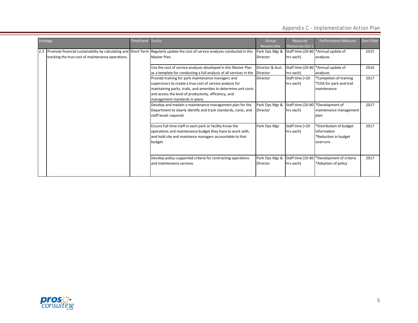| <b>Strategy</b> |                                                                | <b>Timeframe</b> | <b>Tactics</b>                                                      | Group            | Required          | Performance Measure                  | <b>Start Date</b> |
|-----------------|----------------------------------------------------------------|------------------|---------------------------------------------------------------------|------------------|-------------------|--------------------------------------|-------------------|
|                 |                                                                |                  |                                                                     | Responsible      | Resources (Est.)  |                                      |                   |
| 2.3             | Promote financial sustainability by calculating and Short Term |                  | Regularly update the cost of service analyses conducted in this     | Park Ops Mgr &   |                   | Staff time (20-80 * Annual update of | 2015              |
|                 | tracking the true cost of maintenance operations.              |                  | Master Plan.                                                        | Director         | hrs each)         | analyses                             |                   |
|                 |                                                                |                  |                                                                     |                  |                   |                                      |                   |
|                 |                                                                |                  | Use the cost of service analyses developed in this Master Plan      | Director & Asst. |                   | Staff time (20-80 *Annual update of  | 2016              |
|                 |                                                                |                  | as a template for conducting a full analysis of all services in the | Director         | hrs each)         | analyses                             |                   |
|                 |                                                                |                  | Provide training for park maintenance managers and                  | Director         | Staff time (<20   | *Competion of training               | 2017              |
|                 |                                                                |                  | supervisors to create a true cost of service analysis for           |                  | hrs each)         | *COA for park and trail              |                   |
|                 |                                                                |                  | maintaining parks, trails, and amenities to determine unit costs    |                  |                   | maintenance                          |                   |
|                 |                                                                |                  | and assess the level of productivity, efficiency, and               |                  |                   |                                      |                   |
|                 |                                                                |                  | management standards in place.                                      |                  |                   |                                      |                   |
|                 |                                                                |                  | Develop and maitain a maintenance management plan for the           | Park Ops Mgr &   | Staff time (20-80 | *Development of                      | 2017              |
|                 |                                                                |                  | Department to clearly identify and track standards, costs, and      | Director         | hrs each)         | maintenance management               |                   |
|                 |                                                                |                  | staff levels required.                                              |                  |                   | plan                                 |                   |
|                 |                                                                |                  |                                                                     |                  |                   |                                      |                   |
|                 |                                                                |                  | Ensure full-time staff in each park or facility know the            | Park Ops Mgr     | Staff time (<20   | *Distribution of budget              | 2017              |
|                 |                                                                |                  | operations and maintenance budget they have to work with,           |                  | hrs each)         | linformation                         |                   |
|                 |                                                                |                  | and hold site and maintance managers accountable to that            |                  |                   | *Reduction in budget                 |                   |
|                 |                                                                |                  | budget.                                                             |                  |                   | overruns                             |                   |
|                 |                                                                |                  |                                                                     |                  |                   |                                      |                   |
|                 |                                                                |                  | Develop policy-supported criteria for contracting operations        | Park Ops Mgr &   | Staff time (20-80 | *Development of criteria             | 2017              |
|                 |                                                                |                  | and maintenance services.                                           | <b>Director</b>  | hrs each)         | *Adoption of policy                  |                   |
|                 |                                                                |                  |                                                                     |                  |                   |                                      |                   |
|                 |                                                                |                  |                                                                     |                  |                   |                                      |                   |

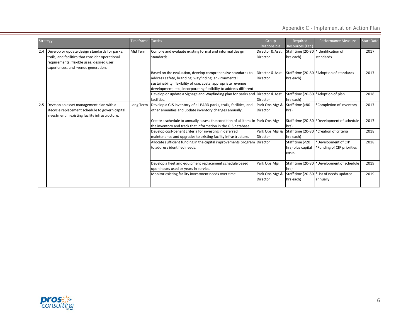|     | <b>Strategy</b>                                                                                                                                                                       | Timeframe | <b>Tactics</b>                                                                                                                                                                                                                                            | Group                             | Required                                      | Performance Measure                                              | <b>Start Date</b> |
|-----|---------------------------------------------------------------------------------------------------------------------------------------------------------------------------------------|-----------|-----------------------------------------------------------------------------------------------------------------------------------------------------------------------------------------------------------------------------------------------------------|-----------------------------------|-----------------------------------------------|------------------------------------------------------------------|-------------------|
|     |                                                                                                                                                                                       |           |                                                                                                                                                                                                                                                           | Responsible                       | Resources (Est.)                              |                                                                  |                   |
| 2.4 | Develop or update design standards for parks,<br>trails, and facilities that consider operational<br>requirements, flexible uses, desired user<br>experiences, and rvenue generation. | Mid Term  | Compile and evaluate existing formal and informal design<br>standards.                                                                                                                                                                                    | Director & Asst.<br>Director      | hrs each)                                     | Staff time (20-80  *Identification of<br><b>Istandards</b>       | 2017              |
|     |                                                                                                                                                                                       |           | Based on the evaluation, develop comprehensive standards to<br>address safety, branding, wayfinding, environmental<br>sustainability, flexibility of use, costs, appropriate revenue<br>development, etc., incorporating flexibility to address different | Director & Asst.<br>Director      | hrs each)                                     | Staff time (20-80 <sup>+</sup> Adoption of standards             | 2017              |
|     |                                                                                                                                                                                       |           | Develop or update a Signage and Wayfinding plan for parks and Director & Asst.<br>facilities.                                                                                                                                                             | <b>Director</b>                   | hrs each)                                     | Staff time (20-80 *Adoption of plan                              | 2018              |
|     | Develop an asset management plan with a<br>lifecycle replacement schedule to govern capital<br>investment in existing facility infrastructure.                                        | Long Term | Develop a GIS inventory of all PARD parks, trails, facilities, and<br>other amenities and update inventory changes annually.                                                                                                                              | Park Ops Mgr &<br><b>Director</b> | Staff time (>80<br>hrs)                       | *Completion of inventory                                         | 2017              |
|     |                                                                                                                                                                                       |           | Create a schedule to annually assess the condition of all items in Park Ops Mgr<br>the inventory and track that information in the GIS database.                                                                                                          |                                   | hrs)                                          | Staff time (20-80 <sup>+</sup> Development of schedule           | 2017              |
|     |                                                                                                                                                                                       |           | Develop cost-benefit criteria for investing in deferred<br>maintenance and upgrades to existing facility infrastructure.                                                                                                                                  | Park Ops Mgr &<br>Director        | hrs each)                                     | Staff time (20-80 <sup>*</sup> Creation of criteria              | 2018              |
|     |                                                                                                                                                                                       |           | Allocate sufficient funding in the capital improvements program Director<br>to address identified needs.                                                                                                                                                  |                                   | Staff time (<20<br>hrs) plus capital<br>costs | *Development of CIP<br>*Funding of CIP priorities                | 2018              |
|     |                                                                                                                                                                                       |           | Develop a fleet and equipment replacement schedule based<br>upon hours used or years in service.                                                                                                                                                          | Park Ops Mgr                      | hrs)                                          | Staff time (20-80 <sup>+</sup> Development of schedule           | 2019              |
|     |                                                                                                                                                                                       |           | Monitor existing facility investment needs over time.                                                                                                                                                                                                     | Park Ops Mgr &<br>Director        | hrs each)                                     | Staff time (20-80 <sup>+</sup> List of needs updated<br>annually | 2019              |

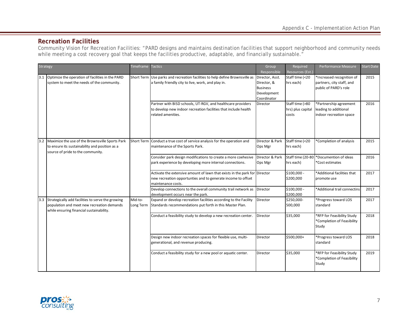#### **Recreation Facilities**

Community Vision for Recreation Facilities: "PARD designs and maintains destination facilities that support neighborhood and community needs while meeting a cost recovery goal that keeps the facilities productive, adaptable, and financially sustainable."

| Strategy                                                                                                                                        | Timeframe            | <b>Tactics</b>                                                                                                                                                   | Group<br>Responsible                                                            | Required<br>Resources (Est.)                  | Performance Measure                                                             | Start Date |
|-------------------------------------------------------------------------------------------------------------------------------------------------|----------------------|------------------------------------------------------------------------------------------------------------------------------------------------------------------|---------------------------------------------------------------------------------|-----------------------------------------------|---------------------------------------------------------------------------------|------------|
| 3.1 Optimize the operation of facilities in the PARD<br>system to meet the needs of the community.                                              | <b>Short Term</b>    | Use parks and recreation facilities to help define Brownsville as<br>a family friendly city to live, work, and play in.                                          | Director, Asst.<br>Director, &<br><b>Business</b><br>Development<br>Coordinator | Staff time (<20<br>hrs each)                  | *Increased recognition of<br>partners, city staff, and<br>public of PARD's role | 2015       |
|                                                                                                                                                 |                      | Partner with BISD schools, UT-RGV, and healthcare providers<br>to develop new indoor recreation facilities that include health<br>related amenities.             | Director                                                                        | Staff time (>80<br>hrs) plus capital<br>costs | *Partnership agreement<br>leading to additional<br>indoor recreation space      | 2016       |
| 3.2 Maximize the use of the Brownsville Sports Park<br>to ensure its sustainability and position as a<br>source of pride to the community.      |                      | Short Term Conduct a true cost of service analysis for the operation and<br>maintenance of the Sports Park.                                                      | Director & Park<br>Ops Mgr                                                      | Staff time (<20<br>hrs each)                  | *Completion of analysis                                                         | 2015       |
|                                                                                                                                                 |                      | Consider park design modifications to create a more coehesive<br>park experience by developing more internal connections.                                        | Director & Park<br>Ops Mgr                                                      | Staff time (20-80<br>hrs each)                | *Documention of ideas<br>*Cost estimates                                        | 2016       |
|                                                                                                                                                 |                      | Activate the extensive amount of lawn that exists in the park for Director<br>new recreation opportunties and to generate income to offset<br>maintenance costs. |                                                                                 | \$100,000 -<br>\$200,000                      | *Additional facilities that<br>promote use                                      | 2017       |
|                                                                                                                                                 |                      | Develop connections to the overall community trail network as<br>development occurs near the park.                                                               | Director                                                                        | \$100,000 -<br>\$200,000                      | *Additional trail connectins                                                    | 2017       |
| 3.3 Strategically add facilities to serve the growing<br>population and meet new recreation demands<br>while ensuring financial sustainability. | Mid-to-<br>Long Term | Expand or develop recreation facilities according to the Facility<br>Standards recommendations put forth in this Master Plan.                                    | Director                                                                        | \$250,000-<br>500,000                         | *Progress toward LOS<br>standard                                                | 2017       |
|                                                                                                                                                 |                      | Conduct a feasibility study to develop a new recreation center.                                                                                                  | Director                                                                        | \$35,000                                      | *RFP for Feasibility Study<br>*Completion of Feasibility<br>Study               | 2018       |
|                                                                                                                                                 |                      | Design new indoor recreation spaces for flexible use, multi-<br>generational, and revenue producing.                                                             | Director                                                                        | \$500,000+                                    | *Progress toward LOS<br>standard                                                | 2018       |
|                                                                                                                                                 |                      | Conduct a feasibility study for a new pool or aquatic center.                                                                                                    | Director                                                                        | \$35,000                                      | *RFP for Feasibility Study<br>*Completion of Feasibility<br>Study               | 2019       |

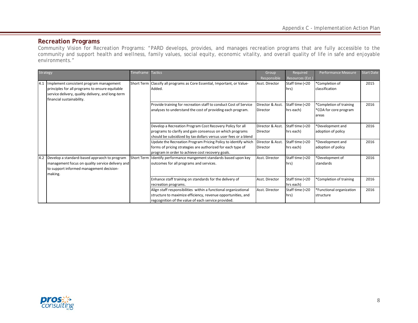#### **Recreation Programs**

Community Vision for Recreation Programs: "PARD develops, provides, and manages recreation programs that are fully accessible to the community and support health and wellness, family values, social equity, economic vitality, and overall quality of life in safe and enjoyable environments."

| Strategy |                                                   | Timeframe         | <b>Tactics</b>                                                           | Group            | Required         | Performance Measure      | <b>Start Date</b> |
|----------|---------------------------------------------------|-------------------|--------------------------------------------------------------------------|------------------|------------------|--------------------------|-------------------|
|          |                                                   |                   |                                                                          | Responsible      | Resources (Est.) |                          |                   |
| 4.1      | Implement consistent program management           |                   | Short Term Classify all programs as Core Essential, Important, or Value- | Asst. Director   | Staff time (<20  | *Completion of           | 2015              |
|          | principles for all programs to ensure equitable   |                   | Added.                                                                   |                  | hrs)             | classification           |                   |
|          | service delivery, quality delivery, and long-term |                   |                                                                          |                  |                  |                          |                   |
|          | financial sustainability.                         |                   |                                                                          |                  |                  |                          |                   |
|          |                                                   |                   | Provide training for recreation staff to conduct Cost of Service         | Director & Asst. | Staff time (<20  | *Completion of training  | 2016              |
|          |                                                   |                   | analyses to understand the cost of providing each program.               | Director         | hrs each)        | *COA for core program    |                   |
|          |                                                   |                   |                                                                          |                  |                  | lareas                   |                   |
|          |                                                   |                   |                                                                          |                  |                  |                          |                   |
|          |                                                   |                   | Develop a Recreation Program Cost Recovery Policy for all                | Director & Asst. | Staff time (<20  | *Development and         | 2016              |
|          |                                                   |                   | programs to clarify and gain consensus on which programs                 | Director         | hrs each)        | adoption of policy       |                   |
|          |                                                   |                   | should be subsidized by tax dollars versus user fees or a blend          |                  |                  |                          |                   |
|          |                                                   |                   | Update the Recreation Program Pricing Policy to identify which           | Director & Asst. | Staff time (<20  | *Development and         | 2016              |
|          |                                                   |                   | forms of pricing strategies are authorized for each type of              | Director         | hrs each)        | adoption of policy       |                   |
|          |                                                   |                   | program in order to achieve cost recovery goals.                         |                  |                  |                          |                   |
| 4.2      | Develop a standard-based appraoch to program      | <b>Short Term</b> | I dentify performance mangement standards based upon key                 | Asst. Director   | Staff time (<20  | *Development of          | 2016              |
|          | management focus on quality service delivery and  |                   | outcomes for all programs and services.                                  |                  | hrs)             | <b>Istandards</b>        |                   |
|          | to support informed management decision-          |                   |                                                                          |                  |                  |                          |                   |
|          | making.                                           |                   |                                                                          |                  |                  |                          |                   |
|          |                                                   |                   | Enhance staff training on standards for the delivery of                  | Asst. Director   | Staff time (<20  | *Completion of training  | 2016              |
|          |                                                   |                   | recreation programs.                                                     |                  | hrs each)        |                          |                   |
|          |                                                   |                   | Align staff responsibilities within a functional organizational          | Asst. Director   | Staff time (<20  | *Functional organization | 2016              |
|          |                                                   |                   | structure to maximize efficiency, revenue opportunities, and             |                  | hrs)             | structure                |                   |
|          |                                                   |                   | regcognition of the value of each service provided.                      |                  |                  |                          |                   |

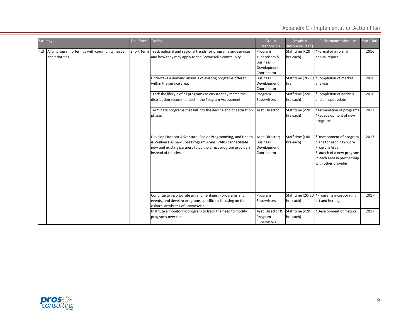|  | <b>Strategy</b>                                                     | Timeframe                                                                                                                                                    | <b>Tactics</b>                                                                                                                                                                                                 | Group<br>Responsible                                                      | Required<br>Resources (Est.)                | Performance Measure                                                                                                                                    | <b>Start Date</b> |
|--|---------------------------------------------------------------------|--------------------------------------------------------------------------------------------------------------------------------------------------------------|----------------------------------------------------------------------------------------------------------------------------------------------------------------------------------------------------------------|---------------------------------------------------------------------------|---------------------------------------------|--------------------------------------------------------------------------------------------------------------------------------------------------------|-------------------|
|  | 4.3 Align program offerings with community needs<br>and priorities. |                                                                                                                                                              | Short Term Track national and regional trends for programs and services<br>and how they may apply to the Brownsville community.                                                                                | Program<br>supervisors &<br><b>Business</b><br>Development<br>Coordinator | Staff time (<20<br>hrs each)                | *Formal or informal<br>annual report                                                                                                                   | 2016              |
|  |                                                                     |                                                                                                                                                              | Undertake a demand analysis of existing programs offered<br>within the service area.                                                                                                                           | <b>Business</b><br>Development<br>Coordinator                             | hrs)                                        | Staff time (20-80 *Completion of market<br>analysis                                                                                                    | 2016              |
|  |                                                                     |                                                                                                                                                              | Track the lifecyle of all programs to ensure they match the<br>distribution recommended in the Program Assessment.                                                                                             | Program<br>Supervisors                                                    | Staff time (<20<br>hrs each)                | *Completion of analysis<br>and annual update                                                                                                           | 2016              |
|  |                                                                     |                                                                                                                                                              | Terminate programs that fall into the decline and or saturation<br>phase.                                                                                                                                      | Asst. Director                                                            | Staff time (<20<br>hrs each)                | *Terminiation of programs<br>*Redevelopment of new<br>programs                                                                                         | 2017              |
|  |                                                                     |                                                                                                                                                              | Develop Outdoor Adventure, Senior Programming, and Health<br>& Wellness as new Core Program Areas. PARD can facilitate<br>new and existing partners to be the direct program providers<br>instead of the city. | Asst. Director;<br><b>Business</b><br>Development<br>Coordinator          | Staff time (>80<br>hrs each)                | *Development of program<br>plans for each new Core<br>Program Area.<br>*Launch of a new program<br>in each area in partnership<br>with other provider. | 2017              |
|  |                                                                     | Continue to incorporate art and heritage in programs and<br>events, and develop programs specifically focusing on the<br>cultural attributes of Brownsville. | Program<br>Supervisors                                                                                                                                                                                         | Staff time (20-80<br>hrs each)                                            | *Programs incorporating<br>art and heritage | 2017                                                                                                                                                   |                   |
|  |                                                                     |                                                                                                                                                              | Institute a monitoring program to track the need to modify<br>programs over time.                                                                                                                              | Asst. Director &<br>Program<br>Supervisors                                | Staff time (<20<br>hrs each)                | *Development of metrics                                                                                                                                | 2017              |

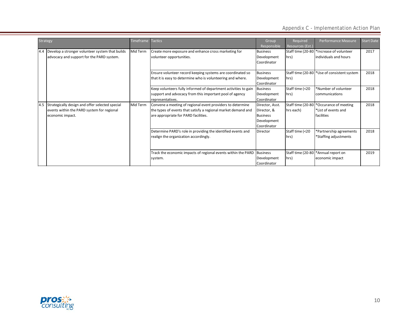|      | Strategy                                                                                                          | <b>Timeframe</b> | <b>Tactics</b>                                                                                                                                                      | Group<br>Responsible                                                            | Required<br>Resources (Est.)   | Performance Measure                                               | <b>Start Date</b> |
|------|-------------------------------------------------------------------------------------------------------------------|------------------|---------------------------------------------------------------------------------------------------------------------------------------------------------------------|---------------------------------------------------------------------------------|--------------------------------|-------------------------------------------------------------------|-------------------|
| 14.4 | Develop a stronger volunteer system that builds<br>advocacy and support for the PARD system.                      | Mid Term         | Create more exposure and enhance cross marketing for<br>volunteer opportunities.                                                                                    | <b>Business</b><br>Development<br>Coordinator                                   | Staff time (20-80<br>hrs)      | *Increase of volunteer<br>individuals and hours                   | 2017              |
|      |                                                                                                                   |                  | Ensure volunteer record keeping systems are coordinated so<br>that it is easy to determine who is volunteering and where.                                           | <b>Business</b><br>Development<br>Coordinator                                   | hrs)                           | Staff time (20-80 <sup>+</sup> Use of consistent system           | 2018              |
|      |                                                                                                                   |                  | Keep volunteers fully informed of department activities to gain<br>support and advocacy from this important pool of agency<br>representatives.                      | <b>Business</b><br>Development<br>Coordinator                                   | Staff time (<20<br>hrs)        | *Number of volunteer<br>communications                            | 2018              |
| 4.5  | Strategically design and offer selected special<br>events within the PARD system for regional<br>economic impact. | Mid Term         | Convene a meeting of regional event providers to determine<br>the types of events that satisfy a regional market demand and<br>are appropriate for PARD facilities. | Director, Asst.<br>Director, &<br><b>Business</b><br>Development<br>Coordinator | Staff time (20-80<br>hrs each) | *Occurance of meeting<br>*List of events and<br><b>facilities</b> | 2018              |
|      |                                                                                                                   |                  | Determine PARD's role in providing the identified events and<br>realign the organization accordingly.                                                               | Director                                                                        | Staff time (<20<br>hrs)        | *Partnership agreements<br>*Staffing adjustments                  | 2018              |
|      |                                                                                                                   |                  | Track the economic impacts of regional events within the PARD<br>system.                                                                                            | <b>Business</b><br>Development<br>Coordinator                                   | Staff time (20-80<br>hrs)      | *Annual report on<br>economic impact                              | 2019              |

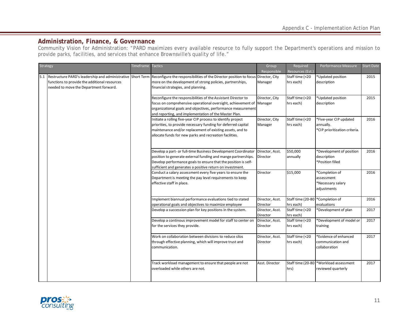### **Administration, Finance, & Governance**

Community Vision for Administration: "PARD maximizes every available resource to fully support the Department's operations and mission to provide parks, facilities, and services that enhance Brownsville's quality of life."

| Strategy |                                                                                         | Timeframe Tactics |                                                                                                                                                                                                                                                                | Group<br>Responsible        | Required<br>Resources (Est.    | Performance Measure                                                  | <b>Start Date</b> |
|----------|-----------------------------------------------------------------------------------------|-------------------|----------------------------------------------------------------------------------------------------------------------------------------------------------------------------------------------------------------------------------------------------------------|-----------------------------|--------------------------------|----------------------------------------------------------------------|-------------------|
|          | functions to provide the additional resources<br>needed to move the Department forward. |                   | 5.1 Restructure PARD's leadership and administrative Short Term Reconfigure the responsibilities of the Director position to focus Director, City<br>more on the development of strong policies, partnerships,<br>financial strategies, and planning.          | Manager                     | Staff time (<20<br>hrs each)   | *Updated position<br>description                                     | 2015              |
|          |                                                                                         |                   | Reconfigure the responsibilities of the Assistant Director to<br>focus on comprehensive operational oversight, achievement of Manager<br>organizational goals and objectives, performance measurement<br>and reporting, and implementation of the Master Plan. | Director, City              | Staff time (<20<br>hrs each)   | *Updated position<br>description                                     | 2015              |
|          |                                                                                         |                   | Initiate a rolling five-year CIP process to identify project<br>priorities, to provide necessary funding for deferred capital<br>maintenance and/or replacement of existing assets, and to<br>allocate funds for new parks and recreation facilities.          | Director, City<br>Manager   | Staff time (<20<br>hrs each)   | *Five-year CIP updated<br>annually.<br>*CIP prioritization criteria. | 2016              |
|          |                                                                                         |                   | Develop a part- or full-time Business Development Coordinator<br>position to generate external funding and mange partnerships.<br>Develop performance goals to ensure that the position is self-<br>sufficient and generates a positive return on investment.  | Director, Asst.<br>Director | \$50,000<br>annually           | *Development of position<br>description<br>*Position filled          | 2016              |
|          |                                                                                         |                   | Conduct a salary assessment every five years to ensure the<br>Department is meeting the pay level requirements to keep<br>effective staff in place.                                                                                                            | Director                    | \$15,000                       | *Completion of<br>assessment<br>*Necessary salary<br>adjustments     | 2016              |
|          |                                                                                         |                   | Implement biannual performance evaluations tied to stated<br>operational goals and objectives to maximize employee                                                                                                                                             | Director, Asst.<br>Director | Staff time (20-80<br>hrs each) | *Completion of<br>evaluations                                        | 2016              |
|          |                                                                                         |                   | Develop a succession plan for key positions in the system.                                                                                                                                                                                                     | Director, Asst.<br>Director | Staff time (<20<br>hrs each)   | *Development of plan                                                 | 2017              |
|          |                                                                                         |                   | Develop a continous improvement model for staff to center on<br>for the services they provide.                                                                                                                                                                 | Director, Asst.<br>Director | Staff time (<20<br>hrs each)   | *Development of model or<br>training                                 | 2017              |
|          |                                                                                         |                   | Work on collaboration between divisions to reduce silos<br>through effective planning, which will improve trust and<br>communication.                                                                                                                          | Director, Asst.<br>Director | Staff time (<20<br>hrs each)   | *Evidence of enhanced<br>communication and<br>collaboration          | 2017              |
|          |                                                                                         |                   | Track workload management to ensure that people are not<br>overloaded while others are not.                                                                                                                                                                    | Asst. Director              | Staff time (20-80<br>hrs)      | *Workload assessment<br>reviewed quarterly                           | 2017              |

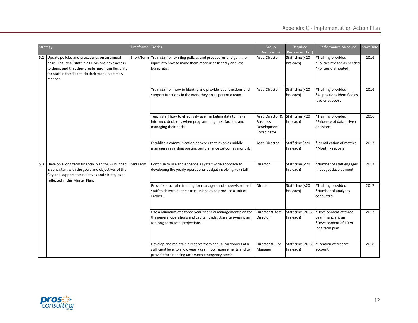| <b>Strategy</b> |                                                                                                                                                                                                                                | Timeframe Tactics |                                                                                                                                                                                  | Group<br>Responsible                                              | <b>Required</b><br>Resources (Est.) | Performance Measure                                                                      | <b>Start Date</b> |
|-----------------|--------------------------------------------------------------------------------------------------------------------------------------------------------------------------------------------------------------------------------|-------------------|----------------------------------------------------------------------------------------------------------------------------------------------------------------------------------|-------------------------------------------------------------------|-------------------------------------|------------------------------------------------------------------------------------------|-------------------|
|                 | 5.2 Update policies and procedures on an annual<br>basis. Ensure all staff in all Divisions have access<br>to them, and that they create maximum flexibility<br>for staff in the field to do their work in a timely<br>manner. |                   | Short Term Train staff on existing policies and procedures and gain their<br>input into how to make them more user friendly and less<br>buracratic.                              | Asst. Director                                                    | Staff time (<20<br>hrs each)        | *Training provided<br>*Policies revised as needed<br>*Policies distributed               | 2016              |
|                 |                                                                                                                                                                                                                                |                   | Train staff on how to identify and provide lead functions and<br>support functions in the work they do as part of a team.                                                        | Asst. Director                                                    | Staff time (<20<br>hrs each)        | *Training provided<br>*All positions identified as<br>lead or support                    | 2016              |
|                 |                                                                                                                                                                                                                                |                   | Teach staff how to effectively use marketing data to make<br>informed decisions when programming their facilites and<br>managing their parks.                                    | Asst. Director &<br><b>Business</b><br>Development<br>Coordinator | Staff time (<20<br>hrs each)        | *Training provided<br>*Evidence of data-driven<br>decisions                              | 2016              |
|                 |                                                                                                                                                                                                                                |                   | Establish a communication network that involves middle<br>managers regarding posting performance outcomes monthly.                                                               | Asst. Director                                                    | Staff time (<20<br>hrs each)        | *Identification of metrics<br>*Monthly reports                                           | 2017              |
| 5.3             | Develop a long term financial plan for PARD that<br>is consistant with the goals and objectives of the<br>City and support the initiatives and strategies as<br>reflected in this Master Plan.                                 | Mid Term          | Continue to use and enhance a systemwide approach to<br>developing the yearly operational budget involving key staff.                                                            | Director                                                          | Staff time (<20<br>hrs each)        | *Number of staff engaged<br>in budget development                                        | 2017              |
|                 |                                                                                                                                                                                                                                |                   | Provide or acquire training for manager- and supervisor-level<br>staff to determine their true unit costs to produce a unit of<br>service.                                       | Director                                                          | Staff time (<20<br>hrs each)        | *Training provided<br>*Number of analyses<br>conducted                                   | 2017              |
|                 |                                                                                                                                                                                                                                |                   | Use a minimum of a three-year financial management plan for<br>the general operations and capital funds. Use a ten-year plan<br>for long-term total projections.                 | Director & Asst.<br>Director                                      | Staff time (20-80<br>hrs each)      | *Development of three-<br>year financial plan<br>*Development of 10-yr<br>long term plan | 2017              |
|                 |                                                                                                                                                                                                                                |                   | Develop and maintain a reserve from annual carryovers at a<br>sufficient level to allow yearly cash flow requirements and to<br>provide for financing unforseen emergency needs. | Director & City<br>Manager                                        | Staff time (20-80)<br>hrs each)     | *Creation of reserve<br>account                                                          | 2018              |